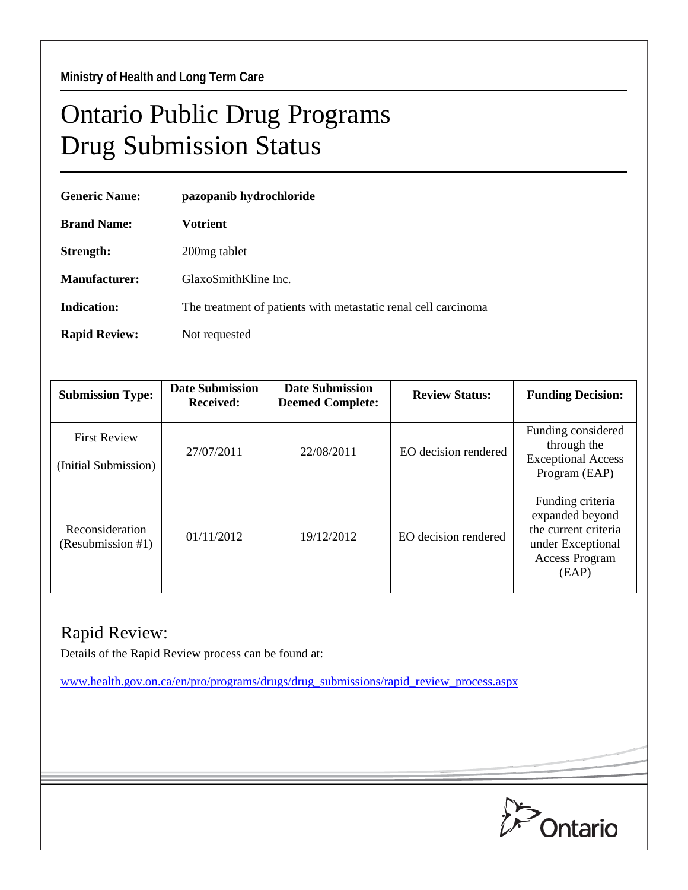## Ontario Public Drug Programs Drug Submission Status

| <b>Generic Name:</b> | pazopanib hydrochloride                                        |  |  |
|----------------------|----------------------------------------------------------------|--|--|
| <b>Brand Name:</b>   | Votrient                                                       |  |  |
| Strength:            | 200 <sub>mg tablet</sub>                                       |  |  |
| Manufacturer:        | GlaxoSmithKline Inc.                                           |  |  |
| Indication:          | The treatment of patients with metastatic renal cell carcinoma |  |  |
| <b>Rapid Review:</b> | Not requested                                                  |  |  |

| <b>Submission Type:</b>                     | <b>Date Submission</b><br><b>Received:</b> | <b>Date Submission</b><br><b>Deemed Complete:</b> | <b>Review Status:</b> | <b>Funding Decision:</b>                                                                                           |
|---------------------------------------------|--------------------------------------------|---------------------------------------------------|-----------------------|--------------------------------------------------------------------------------------------------------------------|
| <b>First Review</b><br>(Initial Submission) | 27/07/2011                                 | 22/08/2011                                        | EO decision rendered  | Funding considered<br>through the<br><b>Exceptional Access</b><br>Program (EAP)                                    |
| Reconsideration<br>(Resubmission #1)        | 01/11/2012                                 | 19/12/2012                                        | EO decision rendered  | Funding criteria<br>expanded beyond<br>the current criteria<br>under Exceptional<br><b>Access Program</b><br>(EAP) |

## Rapid Review:

Details of the Rapid Review process can be found at:

[www.health.gov.on.ca/en/pro/programs/drugs/drug\\_submissions/rapid\\_review\\_process.aspx](http://www.health.gov.on.ca/en/pro/programs/drugs/drug_submissions/rapid_review_process.aspx)